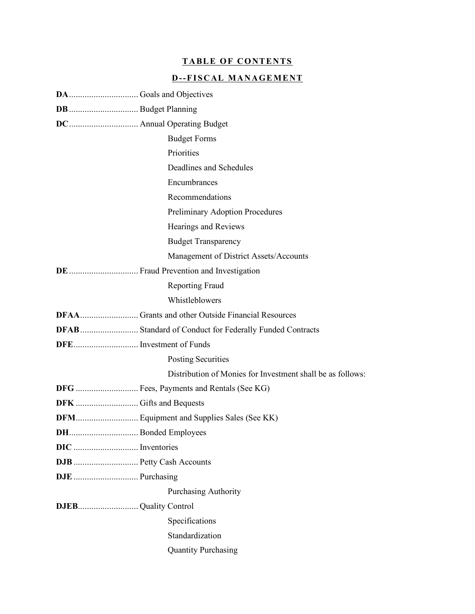# **TABLE OF CONTENTS**

# **D--FISCAL MANAGEMENT**

|                          | <b>Budget Forms</b>                                        |  |  |
|--------------------------|------------------------------------------------------------|--|--|
|                          | Priorities                                                 |  |  |
|                          | Deadlines and Schedules                                    |  |  |
|                          | Encumbrances                                               |  |  |
|                          | Recommendations                                            |  |  |
|                          | Preliminary Adoption Procedures                            |  |  |
|                          | Hearings and Reviews                                       |  |  |
|                          | <b>Budget Transparency</b>                                 |  |  |
|                          | Management of District Assets/Accounts                     |  |  |
|                          |                                                            |  |  |
|                          | Reporting Fraud                                            |  |  |
|                          | Whistleblowers                                             |  |  |
|                          |                                                            |  |  |
|                          |                                                            |  |  |
|                          |                                                            |  |  |
|                          | <b>Posting Securities</b>                                  |  |  |
|                          | Distribution of Monies for Investment shall be as follows: |  |  |
|                          | DFG  Fees, Payments and Rentals (See KG)                   |  |  |
|                          |                                                            |  |  |
|                          | DFM Equipment and Supplies Sales (See KK)                  |  |  |
|                          |                                                            |  |  |
|                          |                                                            |  |  |
| DJB  Petty Cash Accounts |                                                            |  |  |
|                          |                                                            |  |  |
|                          | <b>Purchasing Authority</b>                                |  |  |
|                          |                                                            |  |  |
|                          | Specifications                                             |  |  |
|                          | Standardization                                            |  |  |
|                          | <b>Quantity Purchasing</b>                                 |  |  |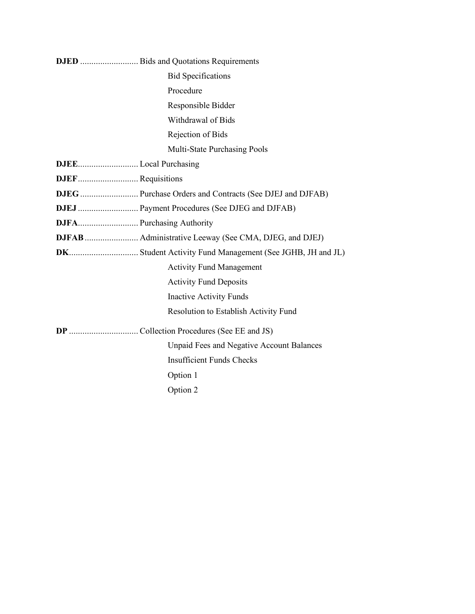|  | <b>Bid Specifications</b>                        |  |  |
|--|--------------------------------------------------|--|--|
|  | Procedure                                        |  |  |
|  | Responsible Bidder                               |  |  |
|  | Withdrawal of Bids                               |  |  |
|  | Rejection of Bids                                |  |  |
|  | Multi-State Purchasing Pools                     |  |  |
|  |                                                  |  |  |
|  |                                                  |  |  |
|  |                                                  |  |  |
|  | DJEJ  Payment Procedures (See DJEG and DJFAB)    |  |  |
|  |                                                  |  |  |
|  |                                                  |  |  |
|  |                                                  |  |  |
|  | <b>Activity Fund Management</b>                  |  |  |
|  | <b>Activity Fund Deposits</b>                    |  |  |
|  | <b>Inactive Activity Funds</b>                   |  |  |
|  | Resolution to Establish Activity Fund            |  |  |
|  |                                                  |  |  |
|  | <b>Unpaid Fees and Negative Account Balances</b> |  |  |
|  | <b>Insufficient Funds Checks</b>                 |  |  |
|  | Option 1                                         |  |  |
|  | Option 2                                         |  |  |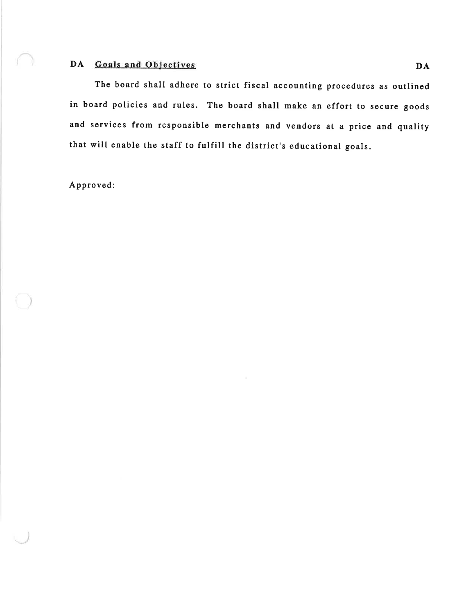# DA Goals and Objectives

The board shall adhere to strict fiscal accounting procedures as outlined in board policies and rules. The board shall make an effort to secure goods and services from responsible merchants and vendors at a price and quality that will enable the staff to fulfill the district's educational goals.

Approved: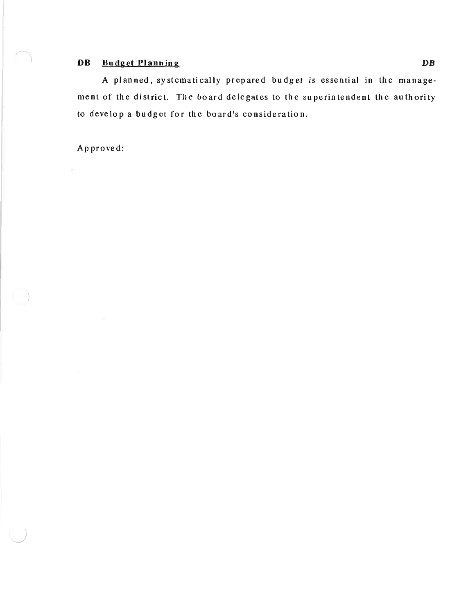# **DB** Budget Planning

A planned, systematically prepared budget is essential in the management of the district. The board delegates to the superintendent the authority to develop a budget for the board's consideration.

Approved:

S.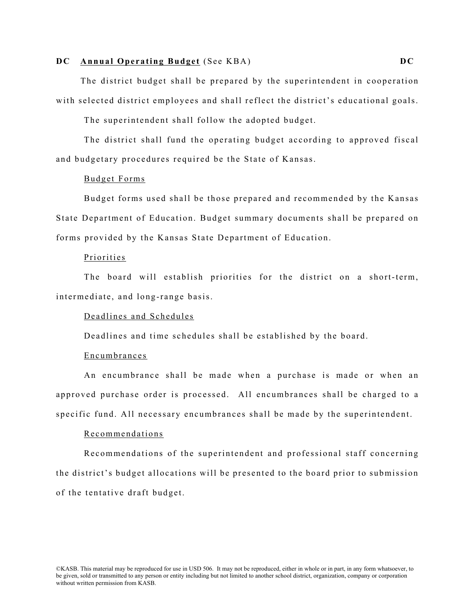#### **DC Annual Operating Budget** (See KBA) **DC**

The district budget shall be prepared by the superintendent in cooperation with selected district employees and shall reflect the district's educational goals.

The superintendent shall follow the adopted budget.

The district shall fund the operating budget according to approved fiscal and budgetary procedures required be the State of Kansas.

#### Budget Forms

Budget forms used shall be those prepared and recommended by the Kansas State Department of Education. Budget summary documents shall be prepared on forms provided by the Kansas State Department of Education.

#### Priorities

The board will establish priorities for the district on a short-term, intermediate, and long-range basis.

#### Deadlines and Schedules

De adlines and time schedules shall be established by the board.

#### Encumbrances

An encumbrance shall be made when a purchase is made or when an approved purchase order is processed. All encumbrances shall be charged to a specific fund. All necessary encumbrances shall be made by the superintendent.

#### Recommendations

Recommendations of the superintendent and professional staff concerning the district's budget allocations will be presented to the board prior to submission of the tentative draft budget.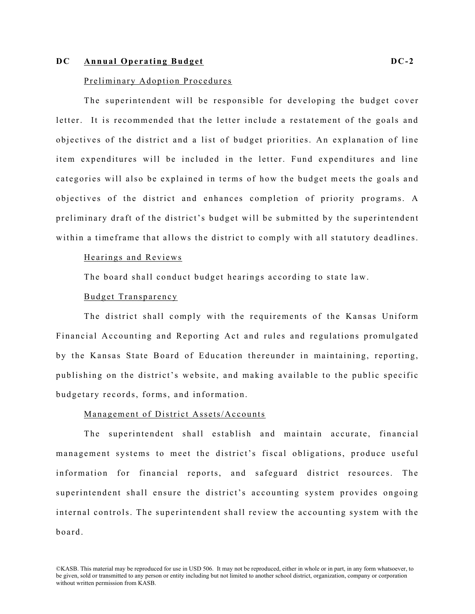#### **DC Annual Operating Budget DC- 2**

#### Preliminary Adoption Procedures

The superintendent will be responsible for developing the budget cover letter. It is recommended that the letter include a restatement of the goals and objectives of the district and a list of budget priorities. An explanation of line item expenditures will be included in the letter. Fund expenditures and line categories will also be explained in terms of how the budget meets the goals and objectives of the district and enhances completion of priority programs. A preliminary draft of the district's budget will be submitted by the superintendent within a timeframe that allows the district to comply with all statutory deadlines.

#### Hearings and Reviews

The board shall conduct budget hearings according to state law.

#### Budget Transparency

The district shall comply with the requirements of the Kansas Uniform Financial Accounting and Reporting Act and rules and regulations promulgated by the Kansas State Board of Education thereunder in maintaining, reporting, publishing on the district's website, and making available to the public specific budgetary records, forms, and information.

#### Management of District Assets/Accounts

The superintendent shall establish and maintain accurate, financial management systems to meet the district's fiscal obligations, produce useful information for financial reports, and safeguard district resources. The superintendent shall ensure the district's accounting system provides ongoing internal controls. The superintendent shall review the accounting system with the board.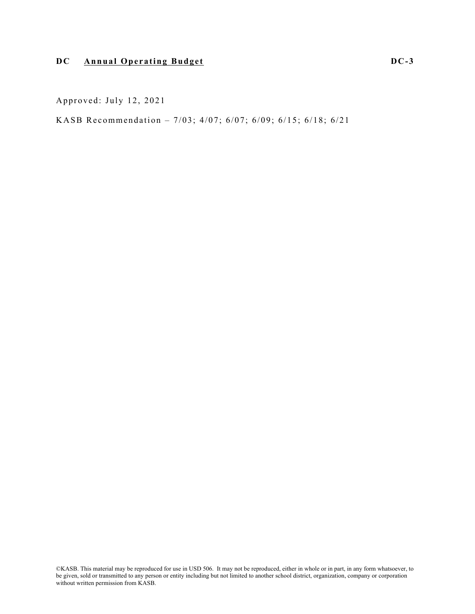# **DC Annual Operating Budget DC- 3**

Approved: July 12, 2021

KASB Recommendation – 7/03; 4/07; 6/07; 6/09; 6/15; 6/18; 6/21

©KASB. This material may be reproduced for use in USD 506. It may not be reproduced, either in whole or in part, in any form whatsoever, to be given, sold or transmitted to any person or entity including but not limited to another school district, organization, company or corporation without written permission from KASB.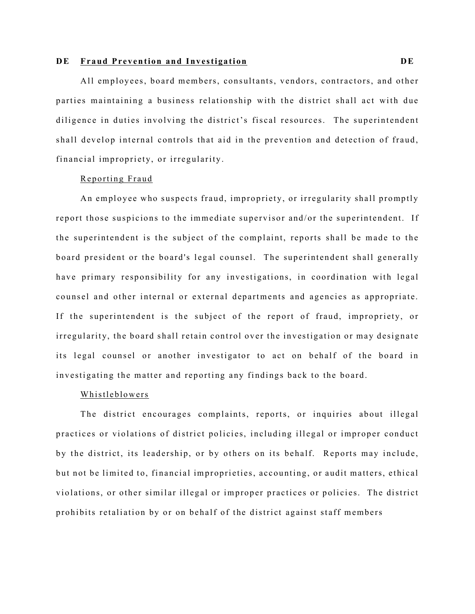#### **D E Fraud Prevention and Investigation D E**

All employees, board members, consultants, vendors, contractors, and other parties maintaining a business relationship with the district shall act with due diligence in duties involving the district's fiscal resources. The superintendent shall develop internal controls that aid in the prevention and detection of fraud, financial impropriety, or irregularity.

#### Reporting Fraud

An employee who suspects fraud, impropriety, or irregularity shall promptly report those suspicions to the immediate supervisor and/or the superintendent. If the superintendent is the subject of the complaint, reports shall be made to the board president or the board's legal counsel. The superintendent shall generally have primary responsibility for any investigations, in coordination with legal counsel and other internal or external departments and agencies as appropriate. If the superintendent is the subject of the report of fraud, impropriety, or irregularity, the board shall retain control over the investigation or may designate its legal counsel or another investigator to act on behalf of the board in investigating the matter and reporting any findings back to the board.

#### Whistleblowers

The district encourages complaints, reports, or inquiries about illegal practices or violations of district policies, including illegal or improper conduct by the district, its leadership, or by others on its behalf. Reports may include, but not be limited to, financial improprieties, accounting, or audit matters, ethical violations, or other similar illegal or improper practices or policies. The district prohibits retaliation by or on behalf of the district against staff members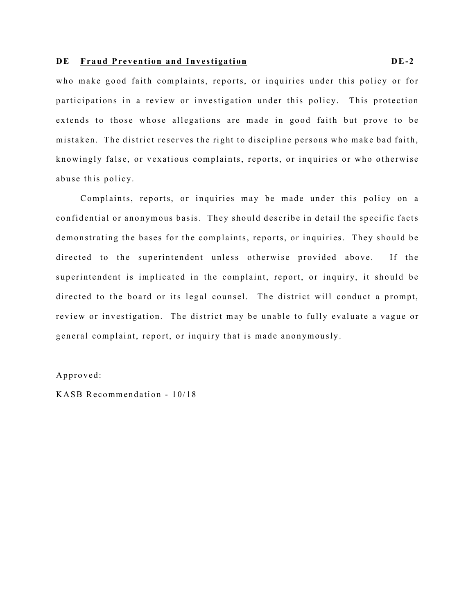### **D E Fraud Prevention and Investigation D E-2**

who make good faith complaints, reports, or inquiries under this policy or for participations in a review or investigation under this policy. This protection extends to those whose allegations are made in good faith but prove to be mistaken. The district reserves the right to discipline persons who make bad faith, knowingly false, or vexatious complaints, reports, or inquiries or who otherwise abuse this policy.

Complaints, reports, or inquiries may be made under this policy on a confidential or anonymous basis. They should describe in detail the specific facts demonstrating the bases for the complaints, reports, or inquiries. They should be directed to the superintendent unless otherwise provided above. If the superintendent is implicated in the complaint, report, or inquiry, it should be directed to the board or its legal counsel. The district will conduct a prompt, review or investigation. The district may be unable to fully evaluate a vague or general complaint, report, or inquiry that is made anonymously.

#### Approved:

KASB Recommendation - 10/18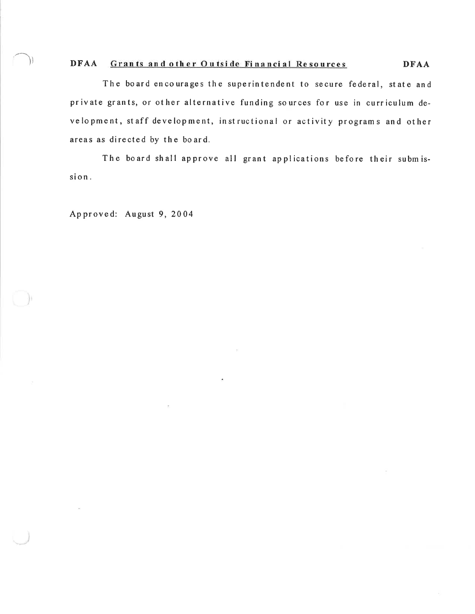#### DFAA Grants and other Outside Financial Resources **DFAA**

The board encourages the superintendent to secure federal, state and private grants, or other alternative funding sources for use in curriculum development, staff development, instructional or activity programs and other areas as directed by the board.

The board shall approve all grant applications before their submission.

Approved: August 9, 2004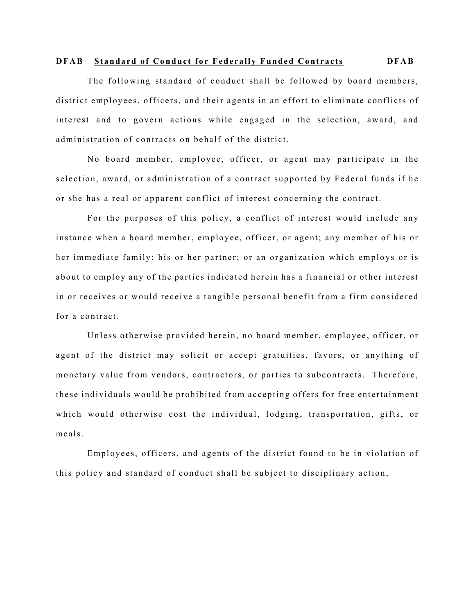#### **DFAB Standard of Conduct for Federally Funded Contracts DFAB**

The following standard of conduct shall be followed by board members, district employees, officers, and their agents in an effort to eliminate conflicts of interest and to govern actions while engaged in the selection, award, and administration of contracts on behalf of the district.

No board member, employee, officer, or agent may participate in the selection, award, or administration of a contract supported by Federal funds if he o r she has a real or apparent conflict of interest concerning the contract.

For the purposes of this policy, a conflict of interest would include any instance when a board member, employee, officer, or agent; any member of his or her immediate family; his or her partner; or an organization which employs or is about to employ any of the parties indicated herein has a financial or other interest in or receives or would receive a tangible personal benefit from a firm considered for a contract.

Unless otherwise provided herein, no board member, employee, officer, or agent of the district may solicit or accept gratuities, favors, or anything of monetary value from vendors, contractors, or parties to subcontracts. Therefore, these individuals would be prohibited from accepting offers for free entertainment which would otherwise cost the individual, lodging, transportation, gifts, or meals.

Employees, officers, and agents of the district found to be in violation of this policy and standard of conduct shall be su bject to disciplinary action,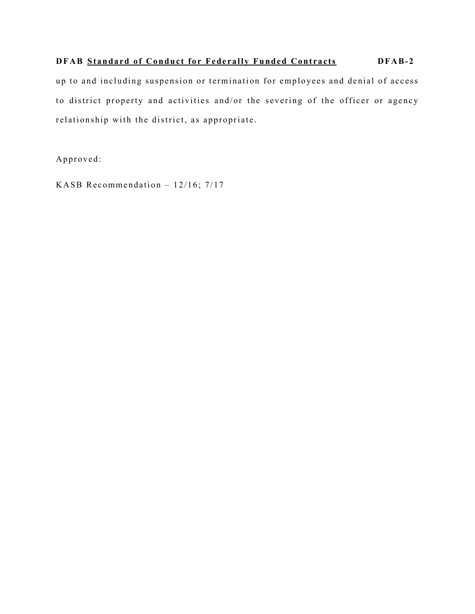# **DFAB Standard of Conduct for Federally Funded Contracts <b>DFAB-2**

up to and including suspension or termination for employees and denial of access to district property and activities and/or the severing of the officer or agency relationship with the district, as appropriate.

Approved:

KASB Recommendation – 12/16; 7/17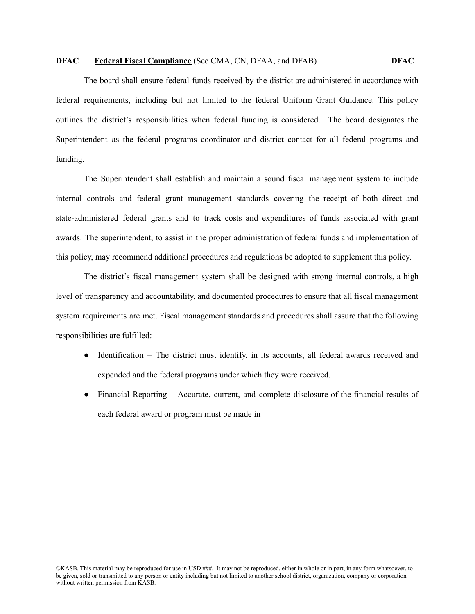#### **DFAC Federal Fiscal Compliance** (See CMA, CN, DFAA, and DFAB) **DFAC**

The board shall ensure federal funds received by the district are administered in accordance with federal requirements, including but not limited to the federal Uniform Grant Guidance. This policy outlines the district's responsibilities when federal funding is considered. The board designates the Superintendent as the federal programs coordinator and district contact for all federal programs and funding.

The Superintendent shall establish and maintain a sound fiscal management system to include internal controls and federal grant management standards covering the receipt of both direct and state-administered federal grants and to track costs and expenditures of funds associated with grant awards. The superintendent, to assist in the proper administration of federal funds and implementation of this policy, may recommend additional procedures and regulations be adopted to supplement this policy.

The district's fiscal management system shall be designed with strong internal controls, a high level of transparency and accountability, and documented procedures to ensure that all fiscal management system requirements are met. Fiscal management standards and procedures shall assure that the following responsibilities are fulfilled:

- Identification The district must identify, in its accounts, all federal awards received and expended and the federal programs under which they were received.
- Financial Reporting Accurate, current, and complete disclosure of the financial results of each federal award or program must be made in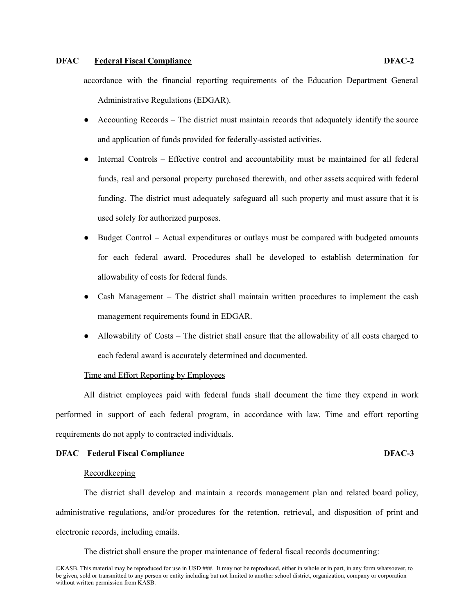#### **DFAC Federal Fiscal Compliance DFAC-2**

accordance with the financial reporting requirements of the Education Department General Administrative Regulations (EDGAR).

- Accounting Records The district must maintain records that adequately identify the source and application of funds provided for federally-assisted activities.
- Internal Controls Effective control and accountability must be maintained for all federal funds, real and personal property purchased therewith, and other assets acquired with federal funding. The district must adequately safeguard all such property and must assure that it is used solely for authorized purposes.
- Budget Control Actual expenditures or outlays must be compared with budgeted amounts for each federal award. Procedures shall be developed to establish determination for allowability of costs for federal funds.
- Cash Management The district shall maintain written procedures to implement the cash management requirements found in EDGAR.
- Allowability of Costs The district shall ensure that the allowability of all costs charged to each federal award is accurately determined and documented.

#### Time and Effort Reporting by Employees

All district employees paid with federal funds shall document the time they expend in work performed in support of each federal program, in accordance with law. Time and effort reporting requirements do not apply to contracted individuals.

#### **DFAC Federal Fiscal Compliance DFAC-3**

#### **Recordkeeping**

The district shall develop and maintain a records management plan and related board policy, administrative regulations, and/or procedures for the retention, retrieval, and disposition of print and electronic records, including emails.

The district shall ensure the proper maintenance of federal fiscal records documenting: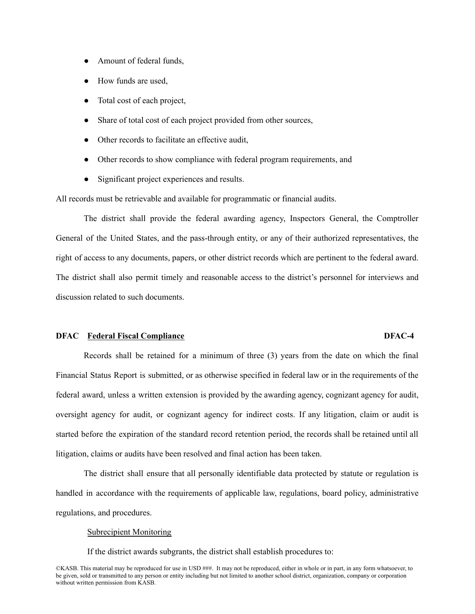- Amount of federal funds,
- How funds are used,
- Total cost of each project,
- Share of total cost of each project provided from other sources,
- Other records to facilitate an effective audit,
- Other records to show compliance with federal program requirements, and
- Significant project experiences and results.

All records must be retrievable and available for programmatic or financial audits.

The district shall provide the federal awarding agency, Inspectors General, the Comptroller General of the United States, and the pass-through entity, or any of their authorized representatives, the right of access to any documents, papers, or other district records which are pertinent to the federal award. The district shall also permit timely and reasonable access to the district's personnel for interviews and discussion related to such documents.

#### **DFAC Federal Fiscal Compliance DFAC-4**

Records shall be retained for a minimum of three (3) years from the date on which the final Financial Status Report is submitted, or as otherwise specified in federal law or in the requirements of the federal award, unless a written extension is provided by the awarding agency, cognizant agency for audit, oversight agency for audit, or cognizant agency for indirect costs. If any litigation, claim or audit is started before the expiration of the standard record retention period, the records shall be retained until all litigation, claims or audits have been resolved and final action has been taken.

The district shall ensure that all personally identifiable data protected by statute or regulation is handled in accordance with the requirements of applicable law, regulations, board policy, administrative regulations, and procedures.

#### Subrecipient Monitoring

If the district awards subgrants, the district shall establish procedures to:

©KASB. This material may be reproduced for use in USD ###. It may not be reproduced, either in whole or in part, in any form whatsoever, to be given, sold or transmitted to any person or entity including but not limited to another school district, organization, company or corporation without written permission from KASB.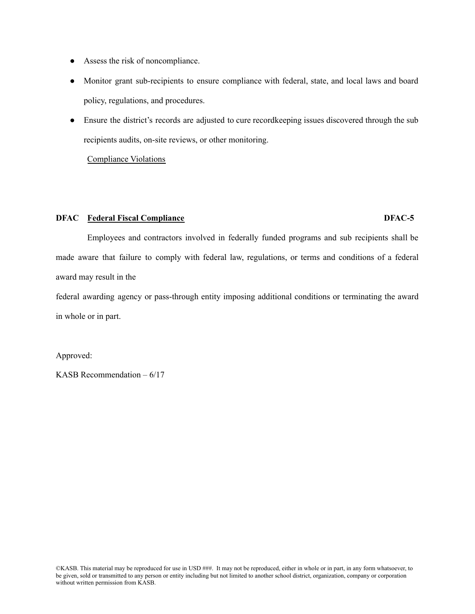- Assess the risk of noncompliance.
- Monitor grant sub-recipients to ensure compliance with federal, state, and local laws and board policy, regulations, and procedures.
- Ensure the district's records are adjusted to cure record keeping issues discovered through the sub recipients audits, on-site reviews, or other monitoring.

Compliance Violations

#### **DFAC Federal Fiscal Compliance DFAC-5**

# Employees and contractors involved in federally funded programs and sub recipients shall be made aware that failure to comply with federal law, regulations, or terms and conditions of a federal award may result in the

federal awarding agency or pass-through entity imposing additional conditions or terminating the award in whole or in part.

Approved:

KASB Recommendation – 6/17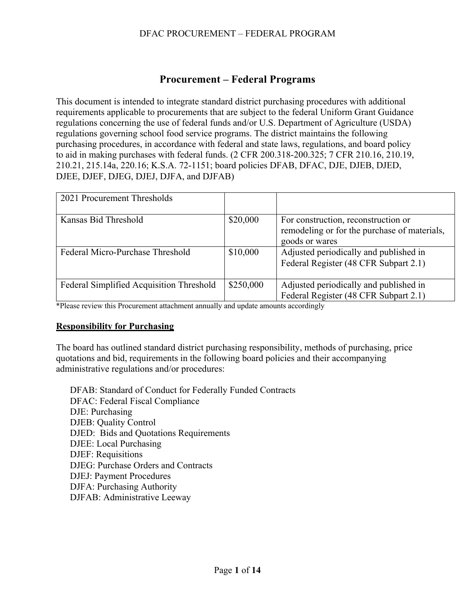# **Procurement – Federal Programs**

This document is intended to integrate standard district purchasing procedures with additional requirements applicable to procurements that are subject to the federal Uniform Grant Guidance regulations concerning the use of federal funds and/or U.S. Department of Agriculture (USDA) regulations governing school food service programs. The district maintains the following purchasing procedures, in accordance with federal and state laws, regulations, and board policy to aid in making purchases with federal funds. (2 CFR 200.318-200.325; 7 CFR 210.16, 210.19, 210.21, 215.14a, 220.16; K.S.A. 72-1151; board policies DFAB, DFAC, DJE, DJEB, DJED, DJEE, DJEF, DJEG, DJEJ, DJFA, and DJFAB)

| 2021 Procurement Thresholds              |           |                                                                                                       |
|------------------------------------------|-----------|-------------------------------------------------------------------------------------------------------|
| Kansas Bid Threshold                     | \$20,000  | For construction, reconstruction or<br>remodeling or for the purchase of materials,<br>goods or wares |
| Federal Micro-Purchase Threshold         | \$10,000  | Adjusted periodically and published in<br>Federal Register (48 CFR Subpart 2.1)                       |
| Federal Simplified Acquisition Threshold | \$250,000 | Adjusted periodically and published in<br>Federal Register (48 CFR Subpart 2.1)                       |

\*Please review this Procurement attachment annually and update amounts accordingly

# **Responsibility for Purchasing**

The board has outlined standard district purchasing responsibility, methods of purchasing, price quotations and bid, requirements in the following board policies and their accompanying administrative regulations and/or procedures:

DFAB: Standard of Conduct for Federally Funded Contracts DFAC: Federal Fiscal Compliance DJE: Purchasing DJEB: Quality Control DJED: Bids and Quotations Requirements DJEE: Local Purchasing DJEF: Requisitions DJEG: Purchase Orders and Contracts DJEJ: Payment Procedures DJFA: Purchasing Authority DJFAB: Administrative Leeway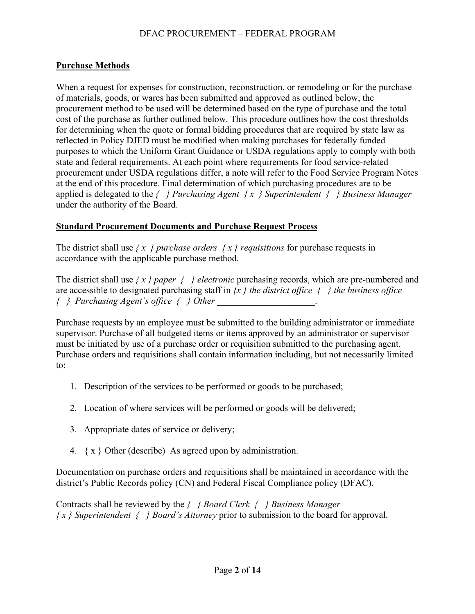# **Purchase Methods**

When a request for expenses for construction, reconstruction, or remodeling or for the purchase of materials, goods, or wares has been submitted and approved as outlined below, the procurement method to be used will be determined based on the type of purchase and the total cost of the purchase as further outlined below. This procedure outlines how the cost thresholds for determining when the quote or formal bidding procedures that are required by state law as reflected in Policy DJED must be modified when making purchases for federally funded purposes to which the Uniform Grant Guidance or USDA regulations apply to comply with both state and federal requirements. At each point where requirements for food service-related procurement under USDA regulations differ, a note will refer to the Food Service Program Notes at the end of this procedure. Final determination of which purchasing procedures are to be applied is delegated to the *{ } Purchasing Agent { x } Superintendent { } Business Manager* under the authority of the Board.

# **Standard Procurement Documents and Purchase Request Process**

The district shall use  $\{x \}$  *purchase orders*  $\{x \}$  *requisitions* for purchase requests in accordance with the applicable purchase method.

The district shall use  $\{x\}$  paper  $\{\}$  electronic purchasing records, which are pre-numbered and are accessible to designated purchasing staff in *{x } the district office { } the business office { } Purchasing Agent's office { } Other \_\_\_\_\_\_\_\_\_\_\_\_\_\_\_\_\_\_\_\_\_*.

Purchase requests by an employee must be submitted to the building administrator or immediate supervisor. Purchase of all budgeted items or items approved by an administrator or supervisor must be initiated by use of a purchase order or requisition submitted to the purchasing agent. Purchase orders and requisitions shall contain information including, but not necessarily limited to:

- 1. Description of the services to be performed or goods to be purchased;
- 2. Location of where services will be performed or goods will be delivered;
- 3. Appropriate dates of service or delivery;
- 4.  $\{x\}$  Other (describe) As agreed upon by administration.

Documentation on purchase orders and requisitions shall be maintained in accordance with the district's Public Records policy (CN) and Federal Fiscal Compliance policy (DFAC).

Contracts shall be reviewed by the *{ } Board Clerk { } Business Manager { x } Superintendent { } Board's Attorney* prior to submission to the board for approval.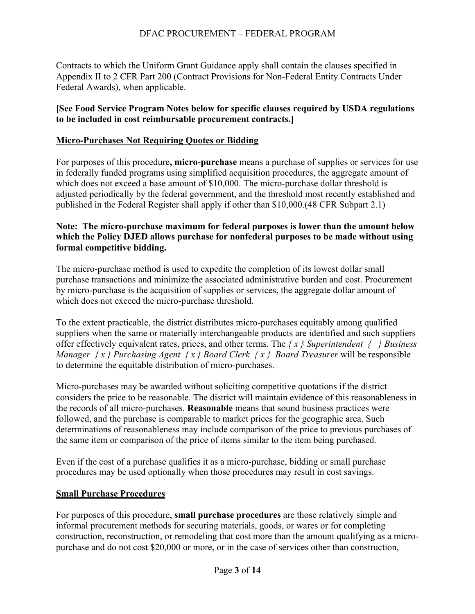Contracts to which the Uniform Grant Guidance apply shall contain the clauses specified in Appendix II to 2 CFR Part 200 (Contract Provisions for Non-Federal Entity Contracts Under Federal Awards), when applicable.

# **[See Food Service Program Notes below for specific clauses required by USDA regulations to be included in cost reimbursable procurement contracts.]**

## **Micro-Purchases Not Requiring Quotes or Bidding**

For purposes of this procedure**, micro-purchase** means a purchase of supplies or services for use in federally funded programs using simplified acquisition procedures, the aggregate amount of which does not exceed a base amount of \$10,000. The micro-purchase dollar threshold is adjusted periodically by the federal government, and the threshold most recently established and published in the Federal Register shall apply if other than \$10,000.(48 CFR Subpart 2.1)

# **Note: The micro-purchase maximum for federal purposes is lower than the amount below which the Policy DJED allows purchase for nonfederal purposes to be made without using formal competitive bidding.**

The micro-purchase method is used to expedite the completion of its lowest dollar small purchase transactions and minimize the associated administrative burden and cost. Procurement by micro-purchase is the acquisition of supplies or services, the aggregate dollar amount of which does not exceed the micro-purchase threshold.

To the extent practicable, the district distributes micro-purchases equitably among qualified suppliers when the same or materially interchangeable products are identified and such suppliers offer effectively equivalent rates, prices, and other terms. The *{ x } Superintendent { } Business Manager { x } Purchasing Agent { x } Board Clerk { x } Board Treasurer* will be responsible to determine the equitable distribution of micro-purchases.

Micro-purchases may be awarded without soliciting competitive quotations if the district considers the price to be reasonable. The district will maintain evidence of this reasonableness in the records of all micro-purchases. **Reasonable** means that sound business practices were followed, and the purchase is comparable to market prices for the geographic area. Such determinations of reasonableness may include comparison of the price to previous purchases of the same item or comparison of the price of items similar to the item being purchased.

Even if the cost of a purchase qualifies it as a micro-purchase, bidding or small purchase procedures may be used optionally when those procedures may result in cost savings.

### **Small Purchase Procedures**

For purposes of this procedure, **small purchase procedures** are those relatively simple and informal procurement methods for securing materials, goods, or wares or for completing construction, reconstruction, or remodeling that cost more than the amount qualifying as a micropurchase and do not cost \$20,000 or more, or in the case of services other than construction,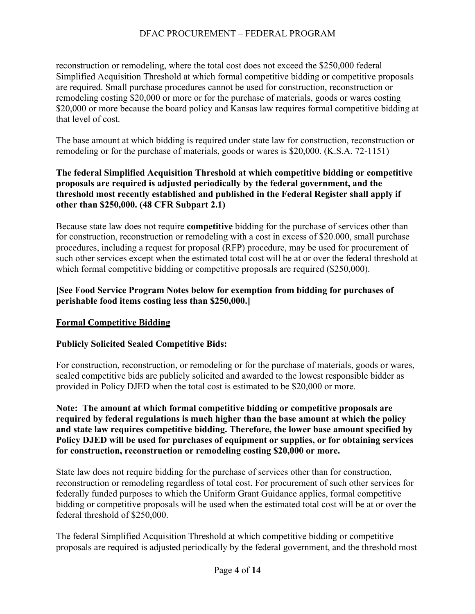reconstruction or remodeling, where the total cost does not exceed the \$250,000 federal Simplified Acquisition Threshold at which formal competitive bidding or competitive proposals are required. Small purchase procedures cannot be used for construction, reconstruction or remodeling costing \$20,000 or more or for the purchase of materials, goods or wares costing \$20,000 or more because the board policy and Kansas law requires formal competitive bidding at that level of cost.

The base amount at which bidding is required under state law for construction, reconstruction or remodeling or for the purchase of materials, goods or wares is \$20,000. (K.S.A. 72-1151)

# **The federal Simplified Acquisition Threshold at which competitive bidding or competitive proposals are required is adjusted periodically by the federal government, and the threshold most recently established and published in the Federal Register shall apply if other than \$250,000. (48 CFR Subpart 2.1)**

Because state law does not require **competitive** bidding for the purchase of services other than for construction, reconstruction or remodeling with a cost in excess of \$20.000, small purchase procedures, including a request for proposal (RFP) procedure, may be used for procurement of such other services except when the estimated total cost will be at or over the federal threshold at which formal competitive bidding or competitive proposals are required (\$250,000).

# **[See Food Service Program Notes below for exemption from bidding for purchases of perishable food items costing less than \$250,000.]**

# **Formal Competitive Bidding**

# **Publicly Solicited Sealed Competitive Bids:**

For construction, reconstruction, or remodeling or for the purchase of materials, goods or wares, sealed competitive bids are publicly solicited and awarded to the lowest responsible bidder as provided in Policy DJED when the total cost is estimated to be \$20,000 or more.

**Note: The amount at which formal competitive bidding or competitive proposals are required by federal regulations is much higher than the base amount at which the policy and state law requires competitive bidding. Therefore, the lower base amount specified by Policy DJED will be used for purchases of equipment or supplies, or for obtaining services for construction, reconstruction or remodeling costing \$20,000 or more.**

State law does not require bidding for the purchase of services other than for construction, reconstruction or remodeling regardless of total cost. For procurement of such other services for federally funded purposes to which the Uniform Grant Guidance applies, formal competitive bidding or competitive proposals will be used when the estimated total cost will be at or over the federal threshold of \$250,000.

The federal Simplified Acquisition Threshold at which competitive bidding or competitive proposals are required is adjusted periodically by the federal government, and the threshold most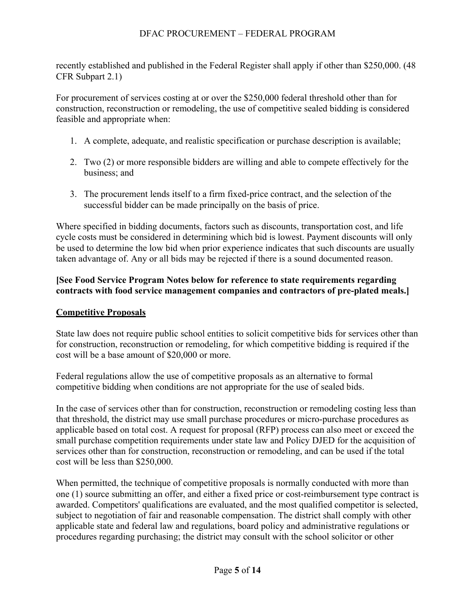recently established and published in the Federal Register shall apply if other than \$250,000. (48 CFR Subpart 2.1)

For procurement of services costing at or over the \$250,000 federal threshold other than for construction, reconstruction or remodeling, the use of competitive sealed bidding is considered feasible and appropriate when:

- 1. A complete, adequate, and realistic specification or purchase description is available;
- 2. Two (2) or more responsible bidders are willing and able to compete effectively for the business; and
- 3. The procurement lends itself to a firm fixed-price contract, and the selection of the successful bidder can be made principally on the basis of price.

Where specified in bidding documents, factors such as discounts, transportation cost, and life cycle costs must be considered in determining which bid is lowest. Payment discounts will only be used to determine the low bid when prior experience indicates that such discounts are usually taken advantage of. Any or all bids may be rejected if there is a sound documented reason.

# **[See Food Service Program Notes below for reference to state requirements regarding contracts with food service management companies and contractors of pre-plated meals.]**

# **Competitive Proposals**

State law does not require public school entities to solicit competitive bids for services other than for construction, reconstruction or remodeling, for which competitive bidding is required if the cost will be a base amount of \$20,000 or more.

Federal regulations allow the use of competitive proposals as an alternative to formal competitive bidding when conditions are not appropriate for the use of sealed bids.

In the case of services other than for construction, reconstruction or remodeling costing less than that threshold, the district may use small purchase procedures or micro-purchase procedures as applicable based on total cost. A request for proposal (RFP) process can also meet or exceed the small purchase competition requirements under state law and Policy DJED for the acquisition of services other than for construction, reconstruction or remodeling, and can be used if the total cost will be less than \$250,000.

When permitted, the technique of competitive proposals is normally conducted with more than one (1) source submitting an offer, and either a fixed price or cost-reimbursement type contract is awarded. Competitors' qualifications are evaluated, and the most qualified competitor is selected, subject to negotiation of fair and reasonable compensation. The district shall comply with other applicable state and federal law and regulations, board policy and administrative regulations or procedures regarding purchasing; the district may consult with the school solicitor or other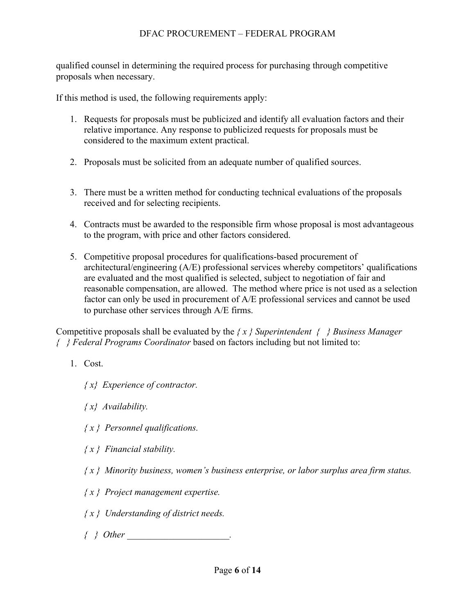qualified counsel in determining the required process for purchasing through competitive proposals when necessary.

If this method is used, the following requirements apply:

- 1. Requests for proposals must be publicized and identify all evaluation factors and their relative importance. Any response to publicized requests for proposals must be considered to the maximum extent practical.
- 2. Proposals must be solicited from an adequate number of qualified sources.
- 3. There must be a written method for conducting technical evaluations of the proposals received and for selecting recipients.
- 4. Contracts must be awarded to the responsible firm whose proposal is most advantageous to the program, with price and other factors considered.
- 5. Competitive proposal procedures for qualifications-based procurement of architectural/engineering (A/E) professional services whereby competitors' qualifications are evaluated and the most qualified is selected, subject to negotiation of fair and reasonable compensation, are allowed. The method where price is not used as a selection factor can only be used in procurement of A/E professional services and cannot be used to purchase other services through A/E firms.

Competitive proposals shall be evaluated by the *{ x } Superintendent { } Business Manager { } Federal Programs Coordinator* based on factors including but not limited to:

- 1. Cost.
	- *{ x} Experience of contractor.*
	- *{ x} Availability.*
	- *{ x } Personnel qualifications.*
	- *{ x } Financial stability.*
	- *{ x } Minority business, women's business enterprise, or labor surplus area firm status.*
	- *{ x } Project management expertise.*
	- *{ x } Understanding of district needs.*
	- *{ } Other \_\_\_\_\_\_\_\_\_\_\_\_\_\_\_\_\_\_\_\_\_\_.*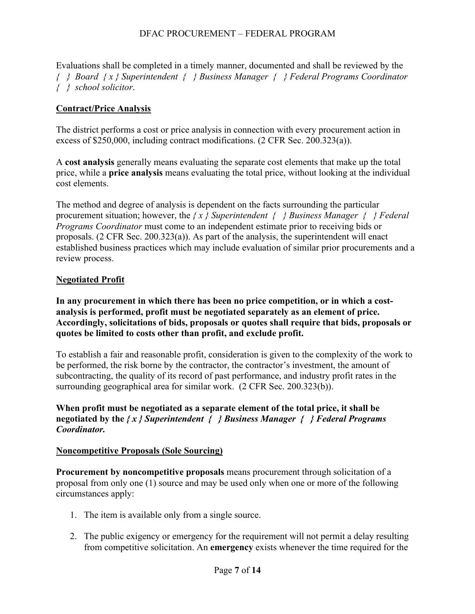Evaluations shall be completed in a timely manner, documented and shall be reviewed by the *{ } Board { x } Superintendent { } Business Manager { } Federal Programs Coordinator { } school solicitor*.

# **Contract/Price Analysis**

The district performs a cost or price analysis in connection with every procurement action in excess of \$250,000, including contract modifications. (2 CFR Sec. 200.323(a)).

A **cost analysis** generally means evaluating the separate cost elements that make up the total price, while a **price analysis** means evaluating the total price, without looking at the individual cost elements.

The method and degree of analysis is dependent on the facts surrounding the particular procurement situation; however, the *{ x } Superintendent { } Business Manager { } Federal Programs Coordinator* must come to an independent estimate prior to receiving bids or proposals. (2 CFR Sec. 200.323(a)). As part of the analysis, the superintendent will enact established business practices which may include evaluation of similar prior procurements and a review process.

# **Negotiated Profit**

**In any procurement in which there has been no price competition, or in which a costanalysis is performed, profit must be negotiated separately as an element of price. Accordingly, solicitations of bids, proposals or quotes shall require that bids, proposals or quotes be limited to costs other than profit, and exclude profit.**

To establish a fair and reasonable profit, consideration is given to the complexity of the work to be performed, the risk borne by the contractor, the contractor's investment, the amount of subcontracting, the quality of its record of past performance, and industry profit rates in the surrounding geographical area for similar work. (2 CFR Sec. 200.323(b)).

**When profit must be negotiated as a separate element of the total price, it shall be negotiated by the** *{ x } Superintendent { } Business Manager { } Federal Programs Coordinator.*

# **Noncompetitive Proposals (Sole Sourcing)**

**Procurement by noncompetitive proposals** means procurement through solicitation of a proposal from only one (1) source and may be used only when one or more of the following circumstances apply:

- 1. The item is available only from a single source.
- 2. The public exigency or emergency for the requirement will not permit a delay resulting from competitive solicitation. An **emergency** exists whenever the time required for the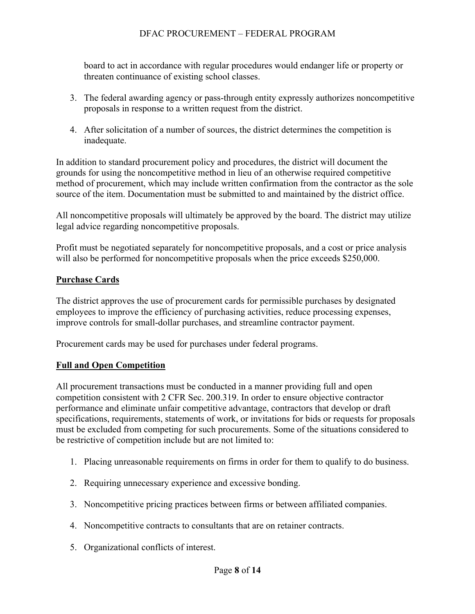board to act in accordance with regular procedures would endanger life or property or threaten continuance of existing school classes.

- 3. The federal awarding agency or pass-through entity expressly authorizes noncompetitive proposals in response to a written request from the district.
- 4. After solicitation of a number of sources, the district determines the competition is inadequate.

In addition to standard procurement policy and procedures, the district will document the grounds for using the noncompetitive method in lieu of an otherwise required competitive method of procurement, which may include written confirmation from the contractor as the sole source of the item. Documentation must be submitted to and maintained by the district office.

All noncompetitive proposals will ultimately be approved by the board. The district may utilize legal advice regarding noncompetitive proposals.

Profit must be negotiated separately for noncompetitive proposals, and a cost or price analysis will also be performed for noncompetitive proposals when the price exceeds \$250,000.

# **Purchase Cards**

The district approves the use of procurement cards for permissible purchases by designated employees to improve the efficiency of purchasing activities, reduce processing expenses, improve controls for small-dollar purchases, and streamline contractor payment.

Procurement cards may be used for purchases under federal programs.

# **Full and Open Competition**

All procurement transactions must be conducted in a manner providing full and open competition consistent with 2 CFR Sec. 200.319. In order to ensure objective contractor performance and eliminate unfair competitive advantage, contractors that develop or draft specifications, requirements, statements of work, or invitations for bids or requests for proposals must be excluded from competing for such procurements. Some of the situations considered to be restrictive of competition include but are not limited to:

- 1. Placing unreasonable requirements on firms in order for them to qualify to do business.
- 2. Requiring unnecessary experience and excessive bonding.
- 3. Noncompetitive pricing practices between firms or between affiliated companies.
- 4. Noncompetitive contracts to consultants that are on retainer contracts.
- 5. Organizational conflicts of interest.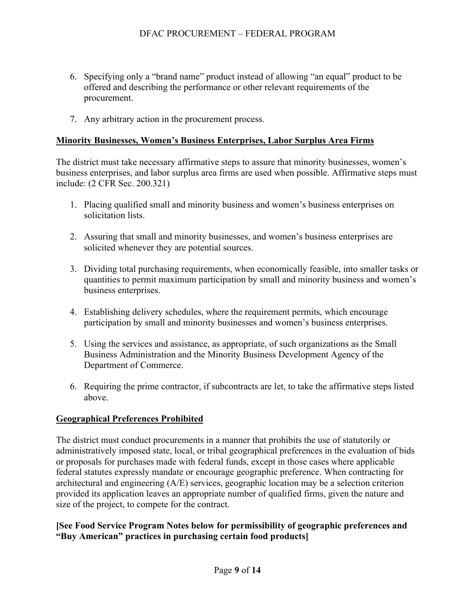- 6. Specifying only a "brand name" product instead of allowing "an equal" product to be offered and describing the performance or other relevant requirements of the procurement.
- 7. Any arbitrary action in the procurement process.

## **Minority Businesses, Women's Business Enterprises, Labor Surplus Area Firms**

The district must take necessary affirmative steps to assure that minority businesses, women's business enterprises, and labor surplus area firms are used when possible. Affirmative steps must include: (2 CFR Sec. 200.321)

- 1. Placing qualified small and minority business and women's business enterprises on solicitation lists.
- 2. Assuring that small and minority businesses, and women's business enterprises are solicited whenever they are potential sources.
- 3. Dividing total purchasing requirements, when economically feasible, into smaller tasks or quantities to permit maximum participation by small and minority business and women's business enterprises.
- 4. Establishing delivery schedules, where the requirement permits, which encourage participation by small and minority businesses and women's business enterprises.
- 5. Using the services and assistance, as appropriate, of such organizations as the Small Business Administration and the Minority Business Development Agency of the Department of Commerce.
- 6. Requiring the prime contractor, if subcontracts are let, to take the affirmative steps listed above.

# **Geographical Preferences Prohibited**

The district must conduct procurements in a manner that prohibits the use of statutorily or administratively imposed state, local, or tribal geographical preferences in the evaluation of bids or proposals for purchases made with federal funds, except in those cases where applicable federal statutes expressly mandate or encourage geographic preference. When contracting for architectural and engineering (A/E) services, geographic location may be a selection criterion provided its application leaves an appropriate number of qualified firms, given the nature and size of the project, to compete for the contract.

# **[See Food Service Program Notes below for permissibility of geographic preferences and "Buy American" practices in purchasing certain food products]**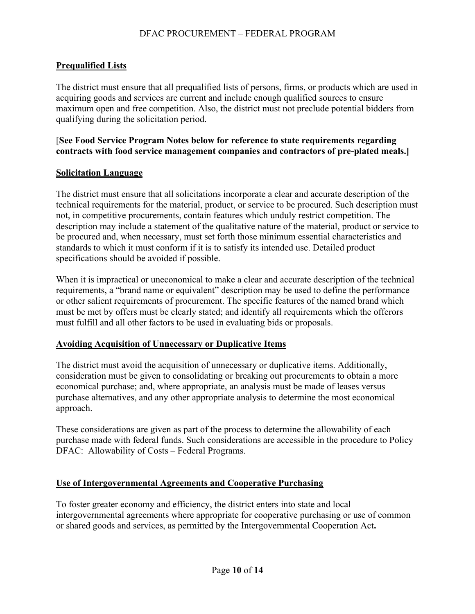# **Prequalified Lists**

The district must ensure that all prequalified lists of persons, firms, or products which are used in acquiring goods and services are current and include enough qualified sources to ensure maximum open and free competition. Also, the district must not preclude potential bidders from qualifying during the solicitation period.

## [**See Food Service Program Notes below for reference to state requirements regarding contracts with food service management companies and contractors of pre-plated meals.]**

### **Solicitation Language**

The district must ensure that all solicitations incorporate a clear and accurate description of the technical requirements for the material, product, or service to be procured. Such description must not, in competitive procurements, contain features which unduly restrict competition. The description may include a statement of the qualitative nature of the material, product or service to be procured and, when necessary, must set forth those minimum essential characteristics and standards to which it must conform if it is to satisfy its intended use. Detailed product specifications should be avoided if possible.

When it is impractical or uneconomical to make a clear and accurate description of the technical requirements, a "brand name or equivalent" description may be used to define the performance or other salient requirements of procurement. The specific features of the named brand which must be met by offers must be clearly stated; and identify all requirements which the offerors must fulfill and all other factors to be used in evaluating bids or proposals.

# **Avoiding Acquisition of Unnecessary or Duplicative Items**

The district must avoid the acquisition of unnecessary or duplicative items. Additionally, consideration must be given to consolidating or breaking out procurements to obtain a more economical purchase; and, where appropriate, an analysis must be made of leases versus purchase alternatives, and any other appropriate analysis to determine the most economical approach.

These considerations are given as part of the process to determine the allowability of each purchase made with federal funds. Such considerations are accessible in the procedure to Policy DFAC: Allowability of Costs – Federal Programs.

# **Use of Intergovernmental Agreements and Cooperative Purchasing**

To foster greater economy and efficiency, the district enters into state and local intergovernmental agreements where appropriate for cooperative purchasing or use of common or shared goods and services, as permitted by the Intergovernmental Cooperation Act**.**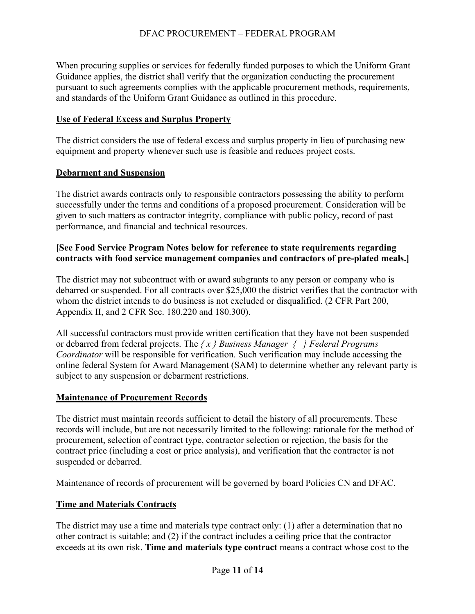When procuring supplies or services for federally funded purposes to which the Uniform Grant Guidance applies, the district shall verify that the organization conducting the procurement pursuant to such agreements complies with the applicable procurement methods, requirements, and standards of the Uniform Grant Guidance as outlined in this procedure.

## **Use of Federal Excess and Surplus Property**

The district considers the use of federal excess and surplus property in lieu of purchasing new equipment and property whenever such use is feasible and reduces project costs.

## **Debarment and Suspension**

The district awards contracts only to responsible contractors possessing the ability to perform successfully under the terms and conditions of a proposed procurement. Consideration will be given to such matters as contractor integrity, compliance with public policy, record of past performance, and financial and technical resources.

## **[See Food Service Program Notes below for reference to state requirements regarding contracts with food service management companies and contractors of pre-plated meals.]**

The district may not subcontract with or award subgrants to any person or company who is debarred or suspended. For all contracts over \$25,000 the district verifies that the contractor with whom the district intends to do business is not excluded or disqualified. (2 CFR Part 200, Appendix II, and 2 CFR Sec. 180.220 and 180.300).

All successful contractors must provide written certification that they have not been suspended or debarred from federal projects. The *{ x } Business Manager { } Federal Programs Coordinator* will be responsible for verification. Such verification may include accessing the online federal System for Award Management (SAM) to determine whether any relevant party is subject to any suspension or debarment restrictions.

# **Maintenance of Procurement Records**

The district must maintain records sufficient to detail the history of all procurements. These records will include, but are not necessarily limited to the following: rationale for the method of procurement, selection of contract type, contractor selection or rejection, the basis for the contract price (including a cost or price analysis), and verification that the contractor is not suspended or debarred.

Maintenance of records of procurement will be governed by board Policies CN and DFAC.

# **Time and Materials Contracts**

The district may use a time and materials type contract only: (1) after a determination that no other contract is suitable; and (2) if the contract includes a ceiling price that the contractor exceeds at its own risk. **Time and materials type contract** means a contract whose cost to the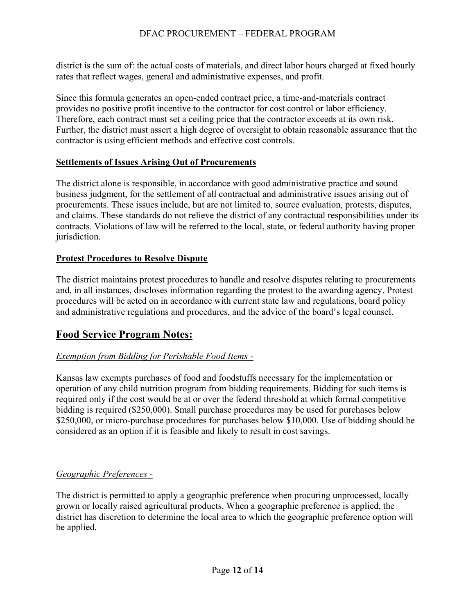district is the sum of: the actual costs of materials, and direct labor hours charged at fixed hourly rates that reflect wages, general and administrative expenses, and profit.

Since this formula generates an open-ended contract price, a time-and-materials contract provides no positive profit incentive to the contractor for cost control or labor efficiency. Therefore, each contract must set a ceiling price that the contractor exceeds at its own risk. Further, the district must assert a high degree of oversight to obtain reasonable assurance that the contractor is using efficient methods and effective cost controls.

# **Settlements of Issues Arising Out of Procurements**

The district alone is responsible, in accordance with good administrative practice and sound business judgment, for the settlement of all contractual and administrative issues arising out of procurements. These issues include, but are not limited to, source evaluation, protests, disputes, and claims. These standards do not relieve the district of any contractual responsibilities under its contracts. Violations of law will be referred to the local, state, or federal authority having proper jurisdiction.

# **Protest Procedures to Resolve Dispute**

The district maintains protest procedures to handle and resolve disputes relating to procurements and, in all instances, discloses information regarding the protest to the awarding agency. Protest procedures will be acted on in accordance with current state law and regulations, board policy and administrative regulations and procedures, and the advice of the board's legal counsel.

# **Food Service Program Notes:**

# *Exemption from Bidding for Perishable Food Items -*

Kansas law exempts purchases of food and foodstuffs necessary for the implementation or operation of any child nutrition program from bidding requirements. Bidding for such items is required only if the cost would be at or over the federal threshold at which formal competitive bidding is required (\$250,000). Small purchase procedures may be used for purchases below \$250,000, or micro-purchase procedures for purchases below \$10,000. Use of bidding should be considered as an option if it is feasible and likely to result in cost savings.

# *Geographic Preferences -*

The district is permitted to apply a geographic preference when procuring unprocessed, locally grown or locally raised agricultural products. When a geographic preference is applied, the district has discretion to determine the local area to which the geographic preference option will be applied.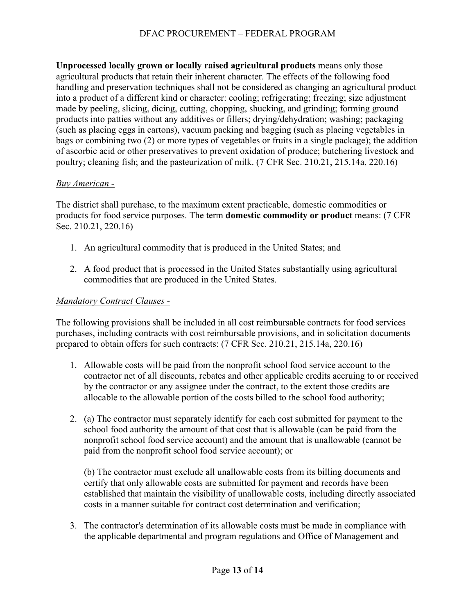**Unprocessed locally grown or locally raised agricultural products** means only those agricultural products that retain their inherent character. The effects of the following food handling and preservation techniques shall not be considered as changing an agricultural product into a product of a different kind or character: cooling; refrigerating; freezing; size adjustment made by peeling, slicing, dicing, cutting, chopping, shucking, and grinding; forming ground products into patties without any additives or fillers; drying/dehydration; washing; packaging (such as placing eggs in cartons), vacuum packing and bagging (such as placing vegetables in bags or combining two (2) or more types of vegetables or fruits in a single package); the addition of ascorbic acid or other preservatives to prevent oxidation of produce; butchering livestock and poultry; cleaning fish; and the pasteurization of milk. (7 CFR Sec. 210.21, 215.14a, 220.16)

## *Buy American -*

The district shall purchase, to the maximum extent practicable, domestic commodities or products for food service purposes. The term **domestic commodity or product** means: (7 CFR Sec. 210.21, 220.16)

- 1. An agricultural commodity that is produced in the United States; and
- 2. A food product that is processed in the United States substantially using agricultural commodities that are produced in the United States.

# *Mandatory Contract Clauses -*

The following provisions shall be included in all cost reimbursable contracts for food services purchases, including contracts with cost reimbursable provisions, and in solicitation documents prepared to obtain offers for such contracts: (7 CFR Sec. 210.21, 215.14a, 220.16)

- 1. Allowable costs will be paid from the nonprofit school food service account to the contractor net of all discounts, rebates and other applicable credits accruing to or received by the contractor or any assignee under the contract, to the extent those credits are allocable to the allowable portion of the costs billed to the school food authority;
- 2. (a) The contractor must separately identify for each cost submitted for payment to the school food authority the amount of that cost that is allowable (can be paid from the nonprofit school food service account) and the amount that is unallowable (cannot be paid from the nonprofit school food service account); or

(b) The contractor must exclude all unallowable costs from its billing documents and certify that only allowable costs are submitted for payment and records have been established that maintain the visibility of unallowable costs, including directly associated costs in a manner suitable for contract cost determination and verification;

3. The contractor's determination of its allowable costs must be made in compliance with the applicable departmental and program regulations and Office of Management and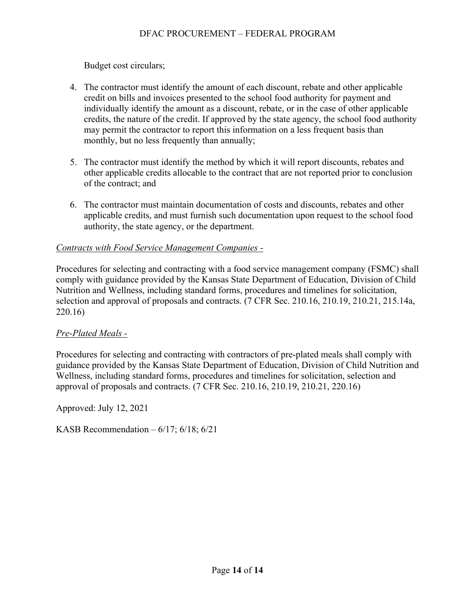Budget cost circulars;

- 4. The contractor must identify the amount of each discount, rebate and other applicable credit on bills and invoices presented to the school food authority for payment and individually identify the amount as a discount, rebate, or in the case of other applicable credits, the nature of the credit. If approved by the state agency, the school food authority may permit the contractor to report this information on a less frequent basis than monthly, but no less frequently than annually;
- 5. The contractor must identify the method by which it will report discounts, rebates and other applicable credits allocable to the contract that are not reported prior to conclusion of the contract; and
- 6. The contractor must maintain documentation of costs and discounts, rebates and other applicable credits, and must furnish such documentation upon request to the school food authority, the state agency, or the department.

# *Contracts with Food Service Management Companies -*

Procedures for selecting and contracting with a food service management company (FSMC) shall comply with guidance provided by the Kansas State Department of Education, Division of Child Nutrition and Wellness, including standard forms, procedures and timelines for solicitation, selection and approval of proposals and contracts. (7 CFR Sec. 210.16, 210.19, 210.21, 215.14a, 220.16)

# *Pre-Plated Meals -*

Procedures for selecting and contracting with contractors of pre-plated meals shall comply with guidance provided by the Kansas State Department of Education, Division of Child Nutrition and Wellness, including standard forms, procedures and timelines for solicitation, selection and approval of proposals and contracts. (7 CFR Sec. 210.16, 210.19, 210.21, 220.16)

Approved: July 12, 2021

KASB Recommendation  $-6/17$ ;  $6/18$ ;  $6/21$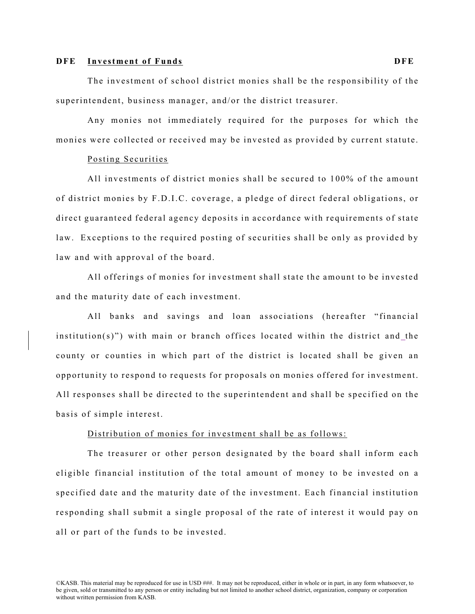#### **DFE Investment of Funds DFE**

The investment of school district monies shall be the responsibility of the superintendent, business manager, and/or the district treasurer.

Any monies not immediately required for the purposes for which the monies were collected or received may be invested as provided by current statute.

### Posting Securities

All investments of district monies shall be secured to 100% of the amount of district monies by F.D.I.C. coverage, a pledge of direct federal obligations, or direct guarante ed federal agency deposits in accordance with requirements of state law. Exceptions to the required posting of securities shall be only as provided by law and with approval of the board.

All offerings of monies for investment shall state the amount to be invested and the maturity date of each investment.

All banks and savings and loan associations (hereafter "financial institution(s)") with main or branch offices located within the district and the county or counties in which part of the district is located shall be given an opportunity to respond to requests for proposals on monies offered for investment. All responses shall be directed to the superintendent and shall be specified on the basis of simple interest.

#### Distribution of monies for investment shall be as follows:

The treasurer or other person designated by the board shall inform each eligible financial institution of the total amount of money to be invested on a specified date and the maturity date of the investment. Each financial institution responding shall submit a single proposal of the rate of interest it would pay on all or part of the funds to be invested.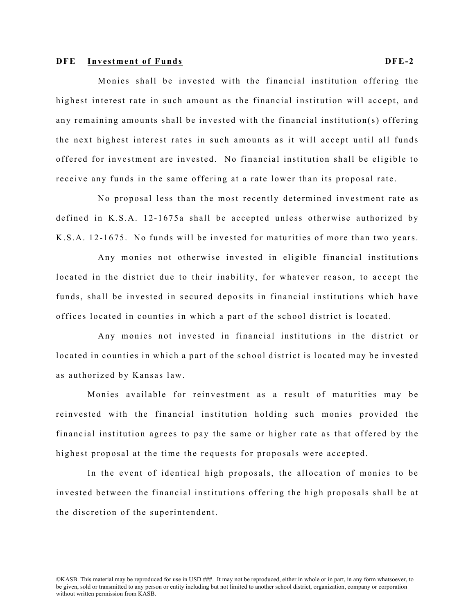#### **DFE Investment of Funds DFE- 2**

Monies shall be invested with the financial institution offering the highest interest rate in such amount as the financial institution will accept, and any remaining amounts shall be invested with the financial institution(s) offering the next highest interest rates in such amounts as it will accept until all funds offered for investment are invested. No financial institution shall be eligible to receive any funds in the same offering at a rate lower than its proposal rate.

No proposal less than the most recently determined investment rate as defined in K.S.A. 12-1675a shall be accepted unless otherwise authorized by K.S.A. 12- 1675. No funds will be invested for maturities of more than two years.

Any monies not otherwise invested in eligible financial institutions located in the district due to their inability, for whatever reason, to accept the funds, shall be invested in secured deposits in financial institutions which have offices located in counties in which a part of the school district is located.

Any monies not invested in financial institutions in the district or located in counties in which a part of the school district is located may be invested as authorized by Kansas law.

Monies available for reinvestment as a result of maturities may be reinvested with the financial institution holding such monies provided the financial institution agrees to pay the same or higher rate as that offered by the highest proposal at the time the requests for proposals were accepted.

In the event of identical high proposals, the allocation of monies to be invested between the financial institutions offering the high proposals shall be at the discretion of the superintendent.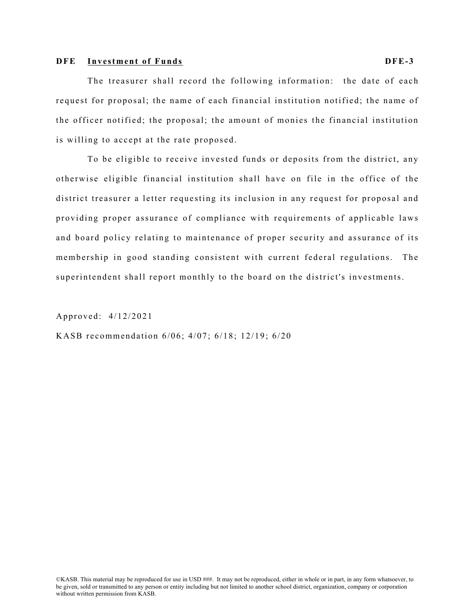#### **DFE Investment of Funds DFE- 3**

The treasurer shall record the following information: the date of each request for proposal; the name of each financial institution notified; the name of the officer notified; the proposal; the amount of monies the financial institution is willing to accept at the rate proposed.

To be eligible to receive invested funds or deposits from the district, any otherwise eligible financial institution shall have on file in the office of the district treasurer a letter requesting its inclusion in any request for proposal and providing proper assurance of compliance with requirements of applicable laws and board policy relating to maintenance of proper security and assurance of its membership in good standing consistent with current federal regulations. The superintendent shall report monthly to the board on the district's investments.

Approved: 4/12/2021

KASB recommendation 6/06; 4/07; 6/18; 12/19; 6/20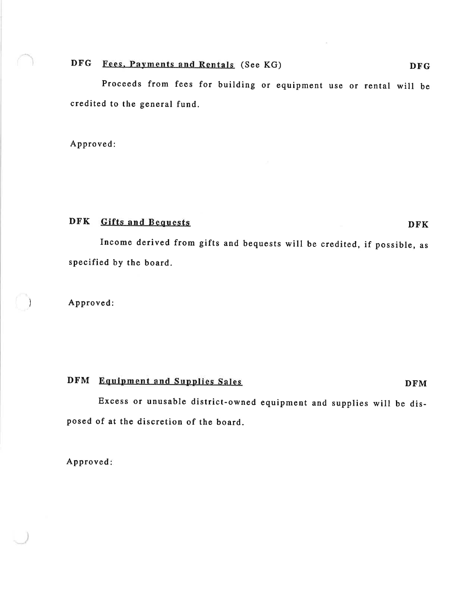# DFG Fees, Payments and Rentals (See KG)

Proceeds from fees for building or equipment use or rental will be credited to the general fund.

Approved:

### DFK Gifts and Bequests

Income derived from gifts and bequests will be credited, if possible, as specified by the board.

Approved:

# DFM Equipment and Supplies Sales

Excess or unusable district-owned equipment and supplies will be disposed of at the discretion of the board.

Approved:

**DFK**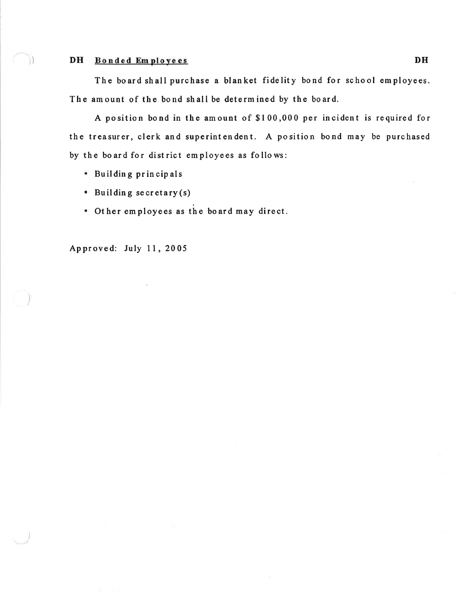#### DH Bonded Employees

The board shall purchase a blanket fidelity bond for school employees. The amount of the bond shall be determined by the board.

A position bond in the amount of \$100,000 per incident is required for the treasurer, clerk and superintendent. A position bond may be purchased by the board for district employees as follows:

- · Building principals
- $\bullet$  Building secretary (s)
- . Other employees as the board may direct.

Approved: July 11, 2005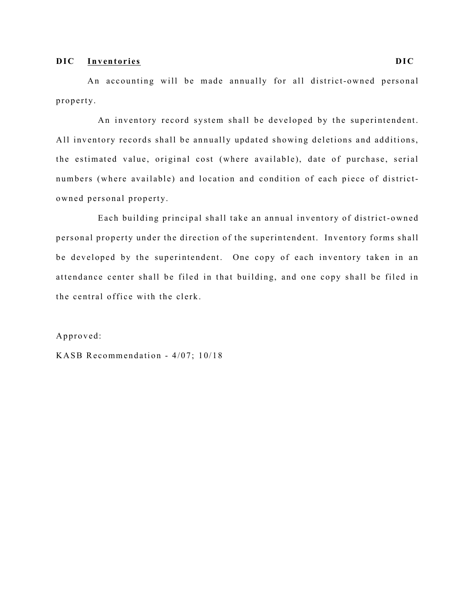#### **DIC Inventories DIC**

An accounting will be made annually for all district-owned personal property.

An inventory record system shall be developed by the superintendent. All inventory records shall be annually updated showing deletions and additions, the estimated value, original cost (where available), date of purchase, serial numbers (where available) and location and condition of each piece of districtowned personal property.

Each building principal shall take an annual inventory of district-owned personal property under the direction of the superintendent. Inventory forms shall be developed by the superintendent. One copy of each inventory taken in an attendance center shall be filed in that building, and one copy shall be filed in the central office with the clerk.

Approved:

KASB Recommendation - 4/07; 10/18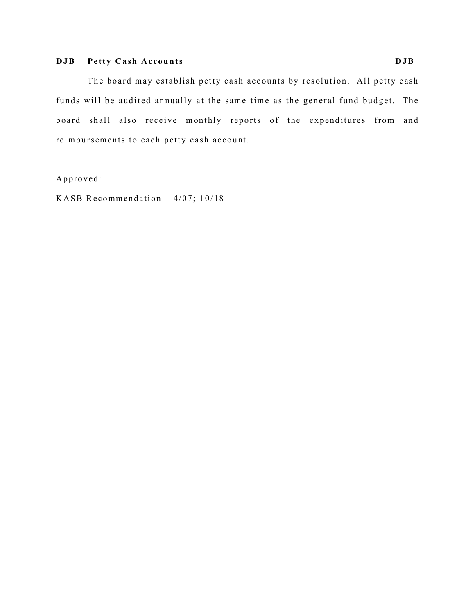# **DJB Petty Cash Accounts DJB**

The board may establish petty cash accounts by resolution. All petty cash funds will be audited annually at the same time as the general fund budget. The board shall also receive monthly reports of the expenditures from and reimbursements to each petty cash account.

Approved:

KASB Recommendation  $-4/07$ ; 10/18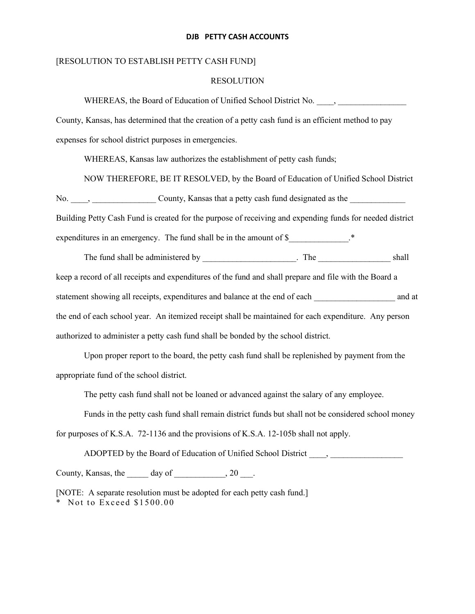#### **DJB PETTY CASH ACCOUNTS**

#### [RESOLUTION TO ESTABLISH PETTY CASH FUND]

#### RESOLUTION

WHEREAS, the Board of Education of Unified School District No.  $\qquad$ ,

County, Kansas, has determined that the creation of a petty cash fund is an efficient method to pay expenses for school district purposes in emergencies.

WHEREAS, Kansas law authorizes the establishment of petty cash funds;

NOW THEREFORE, BE IT RESOLVED, by the Board of Education of Unified School District

No. \_\_\_\_, \_\_\_\_\_\_\_\_\_\_\_\_\_\_\_ County, Kansas that a petty cash fund designated as the \_\_\_\_\_\_\_\_\_\_\_\_\_

Building Petty Cash Fund is created for the purpose of receiving and expending funds for needed district

expenditures in an emergency. The fund shall be in the amount of \$

The fund shall be administered by The The Shall shall shall shall shall shall shall shall shall shall shall shall shall shall shall shall shall shall shall shall shall shall shall shall shall shall shall shall shall shall

keep a record of all receipts and expenditures of the fund and shall prepare and file with the Board a statement showing all receipts, expenditures and balance at the end of each \_\_\_\_\_\_\_\_\_\_\_\_\_\_\_\_\_\_\_ and at the end of each school year. An itemized receipt shall be maintained for each expenditure. Any person

authorized to administer a petty cash fund shall be bonded by the school district.

Upon proper report to the board, the petty cash fund shall be replenished by payment from the appropriate fund of the school district.

The petty cash fund shall not be loaned or advanced against the salary of any employee.

Funds in the petty cash fund shall remain district funds but shall not be considered school money

for purposes of K.S.A. 72-1136 and the provisions of K.S.A. 12-105b shall not apply.

ADOPTED by the Board of Education of Unified School District \_\_\_\_, \_\_\_\_\_\_\_\_\_\_\_\_\_\_

County, Kansas, the  $\qquad \qquad$  day of  $\qquad \qquad$ , 20  $\qquad$ .

[NOTE: A separate resolution must be adopted for each petty cash fund.] \* Not to Exceed \$1500.00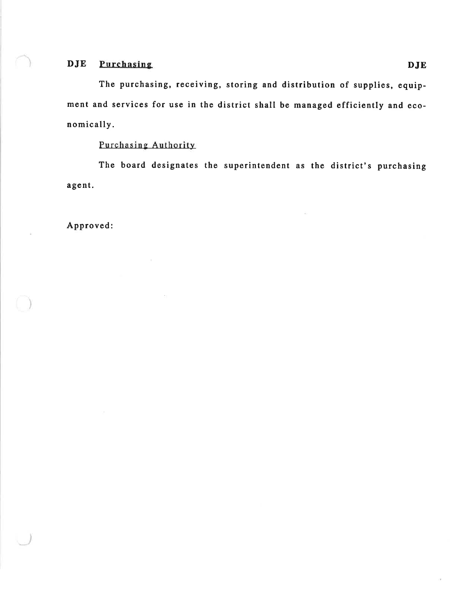#### DJE Purchasing

The purchasing, receiving, storing and distribution of supplies, equipment and services for use in the district shall be managed efficiently and economically.

## Purchasing Authority

The board designates the superintendent as the district's purchasing agent.

Approved: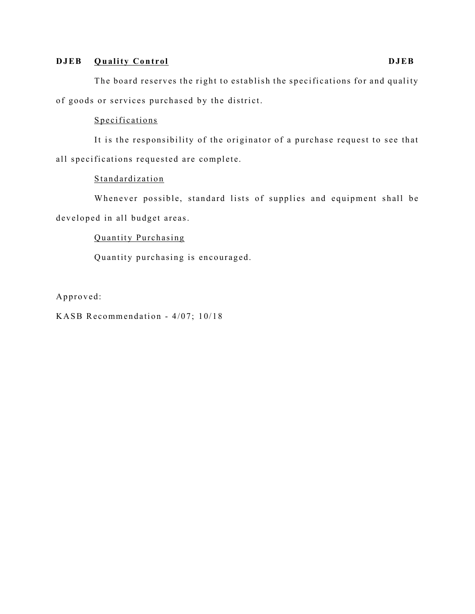# **DJEB Quality Control DJEB**

The board reserves the right to establish the specifications for and quality of goods or services purchased by the district.

## Specifications

It is the responsibility of the originator of a purchase request to see that all specifications requested are complete.

### **Standardization**

Whenever possible, standard lists of supplies and equipment shall be developed in all budget areas.

# Quantity Purchasing

Quantity purchasing is encouraged.

Approved:

KASB Recommendation - 4/07; 10/18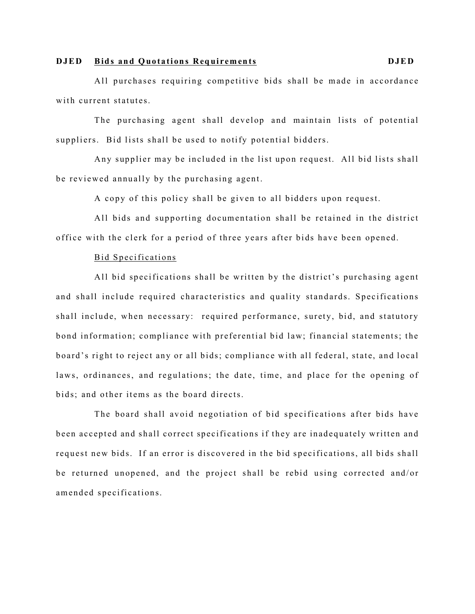#### **DJED Bids and Quotations Requirements DJED**

All purchases requiring competitive bids shall be made in accordance with current statutes.

The purchasing agent shall develop and maintain lists of potential suppliers. Bid lists shall be used to notify potential bidders.

Any supplier may be included in the list upon request. All bid lists shall be reviewed annually by the purchasing agent.

A copy of this policy shall be given to all bidders upon request.

All bids and supporting documentation shall be retained in the district office with the clerk for a period of three years after bids have been opened.

### Bid Specifications

All bid specifications shall be written by the district's purchasing agent and shall include required characteristics and quality standards. Specifications shall include, when necessary: required performance, surety, bid, and statutory bond information; compliance with preferential bid law; financial statements; the board's right to reject any or all bids; compliance with all federal, state, and local laws, ordinances, and regulations; the date, time, and place for the opening of bids; and other items as the board directs.

The board shall avoid negotiation of bid specifications after bids have been accepted and shall correct specifications if they are inadequately written and request new bids. If an error is discovered in the bid specifications, all bids shall be returned unopened, and the project shall be rebid using corrected and/or amended specifications.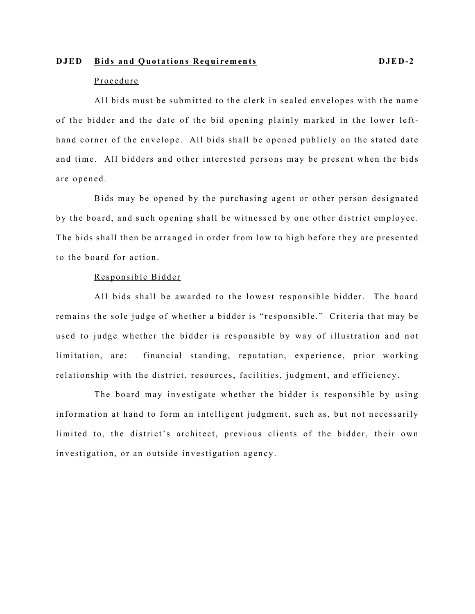#### **DJED Bids and Quotations Requirements DJED-2**

#### Procedure

All bids must be submitted to the clerk in sealed envelopes with the name of the bidder and the date of the bid opening plainly marked in the lower lefthand corner of the envelope. All bids shall be opened publicly on the stated date and time. All bidders and other interested persons may be present when the bids are opened.

Bids may be opened by the purchasing agent or other person designated by the board, and such opening shall be witnessed by one other district employee. The bids shall then be arranged in order from low to high before they are presented to the board for action.

### Responsible Bidder

All bids shall be awarded to the lowest responsible bidder. The board remains the sole judge of whether a bidder is "responsible." Criteria that may be used to judge whether the bidder is responsible by way of illustration and not limitation, are: financial standing, reputation, experience, prior working relationship with the district, resources, facilities, judgment, and efficiency.

The board may investigate whether the bidder is responsible by using information at hand to form an intelligent judgment, such as, but not necessarily limited to, the district's architect, previous clients of the bidder, their own investigation, or an outside investigation agency.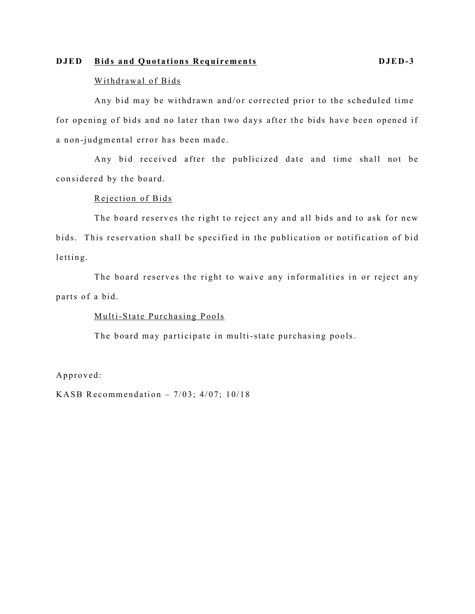#### **DJED Bids and Quotations Requirements DJED-3**

#### Withdrawal of Bids

Any bid may be withdrawn and/or corrected prior to the scheduled time for opening of bids and no later than two days after the bids have been opened if a non -judgmental error has been made.

Any bid received after the publicized date and time shall not be considered by the board.

#### Rejection of Bids

The board reserves the right to reject any and all bids and to ask for new bids. This reservation shall be specified in the publication or notification of bid letting.

The board reserves the right to waive any informalities in or reject any parts of a bid.

#### Multi-State Purchasing Pools

The board may participate in multi-state purchasing pools.

Approved:

KASB Recommendation  $-7/03$ ;  $4/07$ ;  $10/18$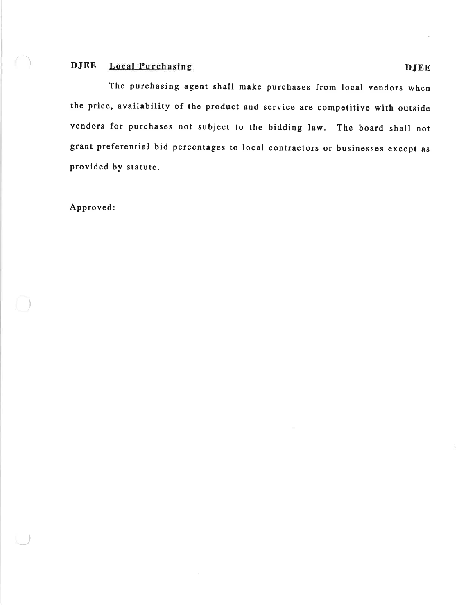#### **DJEE Local Purchasing**

The purchasing agent shall make purchases from local vendors when the price, availability of the product and service are competitive with outside vendors for purchases not subject to the bidding law. The board shall not grant preferential bid percentages to local contractors or businesses except as provided by statute.

Approved: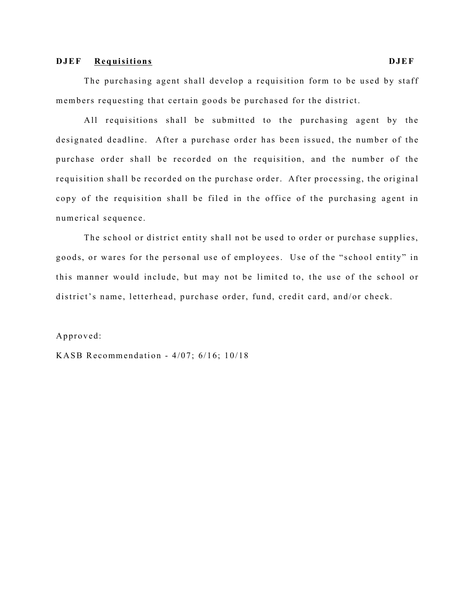#### **DJEF Requisitions DJEF**

The purchasing agent shall develop a requisition form to be used by staff members requesting that certain goods be purchased for the district.

All requisitions shall be submitted to the purchasing agent by the designated deadline. After a purchase order has been issued, the number of the purchase order shall be recorded on the requisition, and the number of the requisition shall be recorded on the purchase order. After processing, the original copy of the requisition shall be filed in the office of the purchasing agent in numerical sequence.

The school or district entity shall not be used to order or purchase supplies, goods, or wares for the personal use of employees. Use of the "school entity" in this manner would include, but may not be limited to, the use of the school or district's name, letterhead, purchase order, fund, credit card, and/or check.

#### Approved:

KASB Recommendation -  $4/07$ ;  $6/16$ ;  $10/18$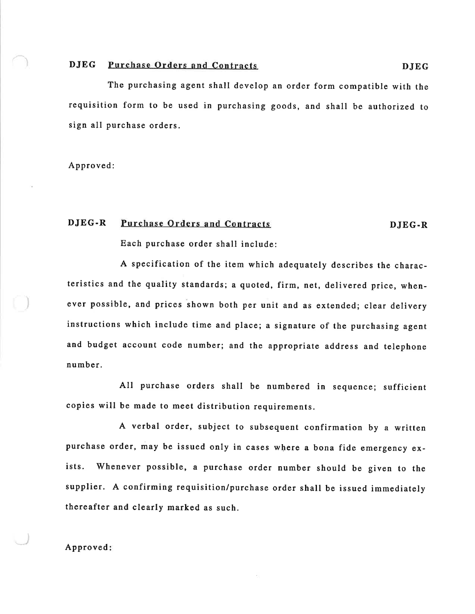#### **DJEG** Purchase Orders and Contracts

The purchasing agent shall develop an order form compatible with the requisition form to be used in purchasing goods, and shall be authorized to sign all purchase orders.

Approved:

#### DJEG-R Purchase Orders and Contracts

#### DJEG-R

Each purchase order shall include:

A specification of the item which adequately describes the characteristics and the quality standards; a quoted, firm, net, delivered price, whenever possible, and prices shown both per unit and as extended; clear delivery instructions which include time and place; a signature of the purchasing agent and budget account code number; and the appropriate address and telephone number.

All purchase orders shall be numbered in sequence; sufficient copies will be made to meet distribution requirements.

A verbal order, subject to subsequent confirmation by a written purchase order, may be issued only in cases where a bona fide emergency ex-Whenever possible, a purchase order number should be given to the ists. supplier. A confirming requisition/purchase order shall be issued immediately thereafter and clearly marked as such.

#### Approved: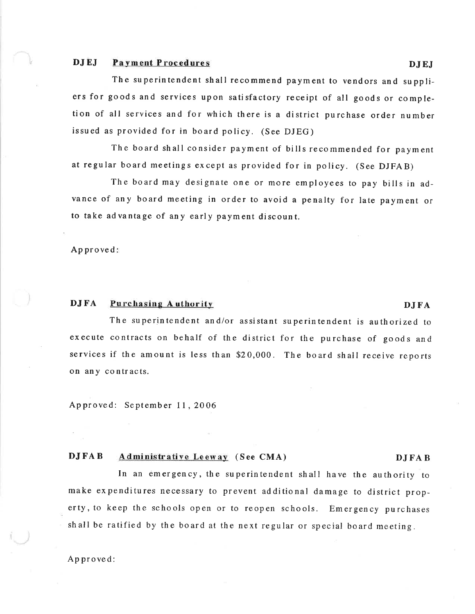#### **DJEI** Payment Procedures

The superintendent shall recommend payment to vendors and suppliers for goods and services upon satisfactory receipt of all goods or completion of all services and for which there is a district purchase order number issued as provided for in board policy. (See DJEG)

The board shall consider payment of bills recommended for payment at regular board meetings except as provided for in policy. (See DJFAB)

The board may designate one or more employees to pay bills in advance of any board meeting in order to avoid a penalty for late payment or to take advantage of any early payment discount.

Approved

#### **DJFA** Purchasing Authority

The superintendent and/or assistant superintendent is authorized to execute contracts on behalf of the district for the purchase of goods and services if the amount is less than \$20,000. The board shall receive reports on any contracts.

Approved: September 11, 2006

#### **DJFAB** Administrative Leeway (See CMA)

In an emergency, the superintendent shall have the authority to make expenditures necessary to prevent additional damage to district property, to keep the schools open or to reopen schools. Emergency purchases shall be ratified by the board at the next regular or special board meeting.

Approved:

**DJFA** 

#### **DJFAB**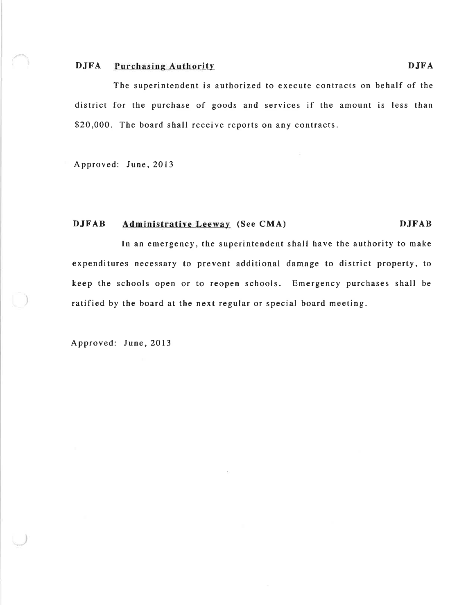#### **DJFA Purchasing Authority**

The superintendent is authorized to execute contracts on behalf of the district for the purchase of goods and services if the amount is less than \$20,000. The board shall receive reports on any contracts.

Approved: June, 2013

#### **DJFAB** Administrative Leeway (See CMA) **DJFAB**

In an emergency, the superintendent shall have the authority to make expenditures necessary to prevent additional damage to district property, to keep the schools open or to reopen schools. Emergency purchases shall be ratified by the board at the next regular or special board meeting.

Approved: June, 2013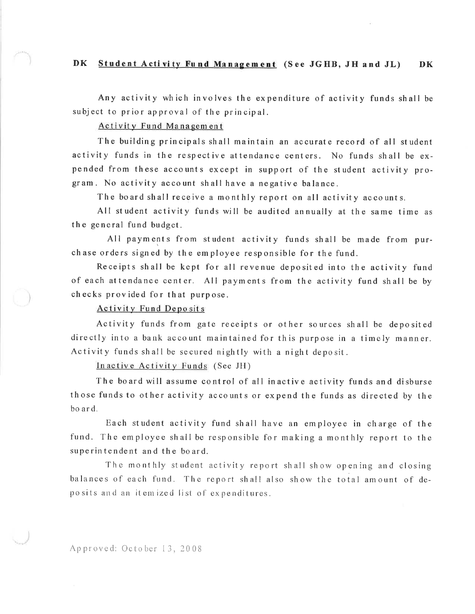#### **DK** Student Activity Fund Management (See JGHB, JH and JL) **DK**

Any activity which involves the expenditure of activity funds shall be subject to prior approval of the principal.

Activity Fund Management

The building principals shall maintain an accurate record of all student activity funds in the respective attendance centers. No funds shall be expended from these accounts except in support of the student activity program. No activity account shall have a negative balance.

The board shall receive a monthly report on all activity accounts.

All student activity funds will be audited annually at the same time as the general fund budget.

All payments from student activity funds shall be made from purchase orders signed by the employee responsible for the fund.

Receipts shall be kept for all revenue deposited into the activity fund of each attendance center. All payments from the activity fund shall be by checks provided for that purpose.

#### **Activity Fund Deposits**

Activity funds from gate receipts or other sources shall be deposited directly into a bank account maintained for this purpose in a timely manner. Activity funds shall be secured nightly with a night deposit.

Inactive Activity Funds (See JH)

The board will assume control of all inactive activity funds and disburse those funds to other activity accounts or expend the funds as directed by the bo ard.

Each student activity fund shall have an employee in charge of the fund. The employee shall be responsible for making a monthly report to the superintendent and the board.

The monthly student activity report shall show opening and closing balances of each fund. The report shall also show the total amount of deposits and an itemized list of expenditures.

Approved: October 13, 2008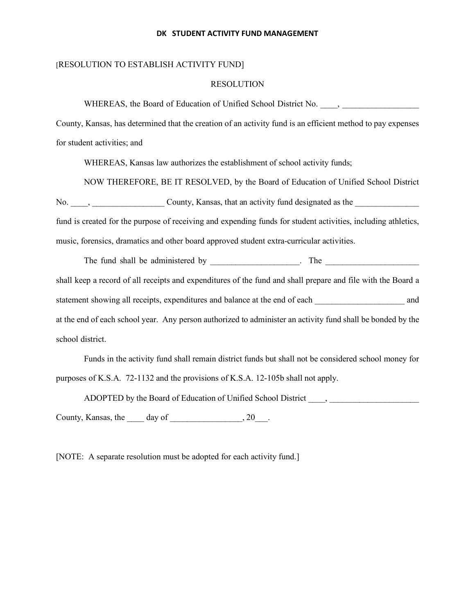#### **DK STUDENT ACTIVITY FUND MANAGEMENT**

#### [RESOLUTION TO ESTABLISH ACTIVITY FUND]

#### RESOLUTION

WHEREAS, the Board of Education of Unified School District No.  $\qquad$ ,

County, Kansas, has determined that the creation of an activity fund is an efficient method to pay expenses for student activities; and

WHEREAS, Kansas law authorizes the establishment of school activity funds;

NOW THEREFORE, BE IT RESOLVED, by the Board of Education of Unified School District No. \_\_\_\_, \_\_\_\_\_\_\_\_\_\_\_\_\_\_\_\_\_ County, Kansas, that an activity fund designated as the \_\_\_\_\_\_\_\_\_\_\_\_\_\_\_ fund is created for the purpose of receiving and expending funds for student activities, including athletics, music, forensics, dramatics and other board approved student extra-curricular activities.

The fund shall be administered by The  $\blacksquare$ . The shall keep a record of all receipts and expenditures of the fund and shall prepare and file with the Board a statement showing all receipts, expenditures and balance at the end of each and at the end of each school year. Any person authorized to administer an activity fund shall be bonded by the school district.

Funds in the activity fund shall remain district funds but shall not be considered school money for purposes of K.S.A. 72-1132 and the provisions of K.S.A. 12-105b shall not apply.

ADOPTED by the Board of Education of Unified School District \_\_\_\_, \_\_\_\_\_\_\_\_\_\_\_\_\_\_\_\_\_\_\_\_\_

County, Kansas, the  $\_\_\_\$  day of  $\_\_\_\_\_\_\_\$ , 20

[NOTE: A separate resolution must be adopted for each activity fund.]